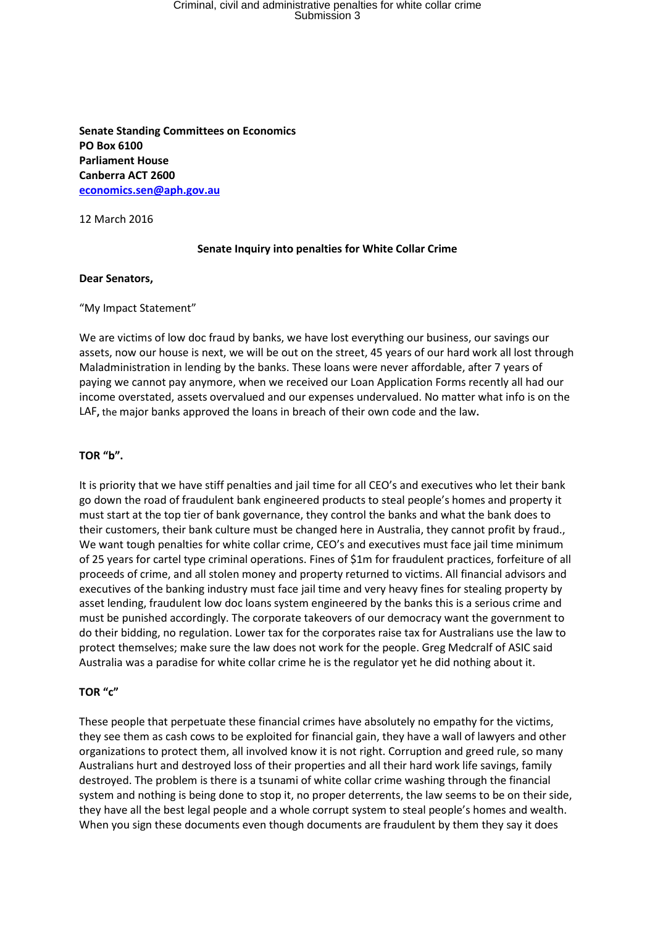# Criminal, civil and administrative penalties for white collar crime<br>Submission 3

**Senate Standing Committees on Economics PO Box 6100 Parliament House Canberra ACT 2600 [economics.sen@aph.gov.au](mailto:economics.sen@aph.gov.au)**

12 March 2016

## **Senate Inquiry into penalties for White Collar Crime**

#### **Dear Senators,**

#### "My Impact Statement"

We are victims of low doc fraud by banks, we have lost everything our business, our savings our assets, now our house is next, we will be out on the street, 45 years of our hard work all lost through Maladministration in lending by the banks. These loans were never affordable, after 7 years of paying we cannot pay anymore, when we received our Loan Application Forms recently all had our income overstated, assets overvalued and our expenses undervalued. No matter what info is on the LAF**,** the major banks approved the loans in breach of their own code and the law**.** 

## **TOR "b".**

It is priority that we have stiff penalties and jail time for all CEO's and executives who let their bank go down the road of fraudulent bank engineered products to steal people's homes and property it must start at the top tier of bank governance, they control the banks and what the bank does to their customers, their bank culture must be changed here in Australia, they cannot profit by fraud., We want tough penalties for white collar crime, CEO's and executives must face jail time minimum of 25 years for cartel type criminal operations. Fines of \$1m for fraudulent practices, forfeiture of all proceeds of crime, and all stolen money and property returned to victims. All financial advisors and executives of the banking industry must face jail time and very heavy fines for stealing property by asset lending, fraudulent low doc loans system engineered by the banks this is a serious crime and must be punished accordingly. The corporate takeovers of our democracy want the government to do their bidding, no regulation. Lower tax for the corporates raise tax for Australians use the law to protect themselves; make sure the law does not work for the people. Greg Medcralf of ASIC said Australia was a paradise for white collar crime he is the regulator yet he did nothing about it.

## **TOR "c"**

These people that perpetuate these financial crimes have absolutely no empathy for the victims, they see them as cash cows to be exploited for financial gain, they have a wall of lawyers and other organizations to protect them, all involved know it is not right. Corruption and greed rule, so many Australians hurt and destroyed loss of their properties and all their hard work life savings, family destroyed. The problem is there is a tsunami of white collar crime washing through the financial system and nothing is being done to stop it, no proper deterrents, the law seems to be on their side, they have all the best legal people and a whole corrupt system to steal people's homes and wealth. When you sign these documents even though documents are fraudulent by them they say it does